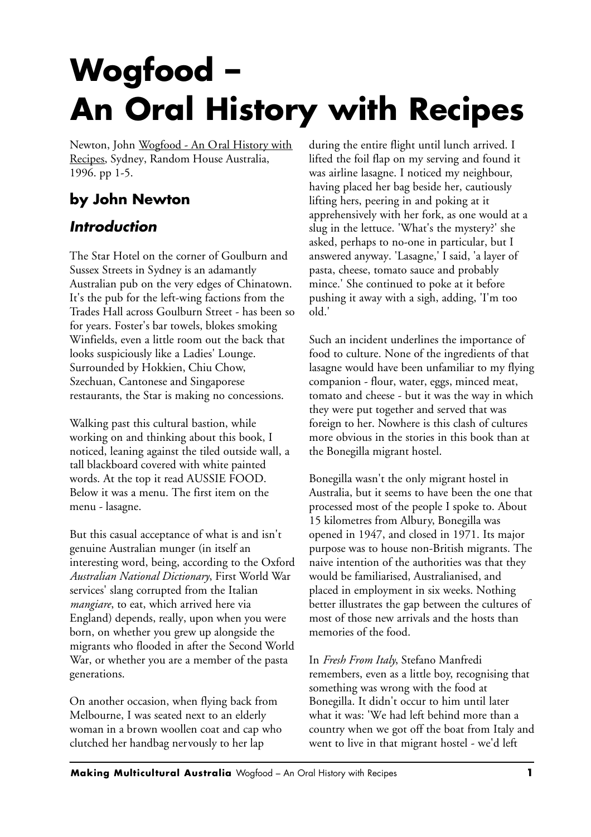## **Wogfood – An Oral History with Recipes**

Newton, John Wogfood - An Oral History with Recipes, Sydney, Random House Australia, 1996. pp 1-5.

## **by John Newton**

## *Introduction*

The Star Hotel on the corner of Goulburn and Sussex Streets in Sydney is an adamantly Australian pub on the very edges of Chinatown. It's the pub for the left-wing factions from the Trades Hall across Goulburn Street - has been so for years. Foster's bar towels, blokes smoking Winfields, even a little room out the back that looks suspiciously like a Ladies' Lounge. Surrounded by Hokkien, Chiu Chow, Szechuan, Cantonese and Singaporese restaurants, the Star is making no concessions.

Walking past this cultural bastion, while working on and thinking about this book, I noticed, leaning against the tiled outside wall, a tall blackboard covered with white painted words. At the top it read AUSSIE FOOD. Below it was a menu. The first item on the menu - lasagne.

But this casual acceptance of what is and isn't genuine Australian munger (in itself an interesting word, being, according to the Oxford *Australian National Dictionary*, First World War services' slang corrupted from the Italian *mangiare*, to eat, which arrived here via England) depends, really, upon when you were born, on whether you grew up alongside the migrants who flooded in after the Second World War, or whether you are a member of the pasta generations.

On another occasion, when flying back from Melbourne, I was seated next to an elderly woman in a brown woollen coat and cap who clutched her handbag nervously to her lap

during the entire flight until lunch arrived. I lifted the foil flap on my serving and found it was airline lasagne. I noticed my neighbour, having placed her bag beside her, cautiously lifting hers, peering in and poking at it apprehensively with her fork, as one would at a slug in the lettuce. 'What's the mystery?' she asked, perhaps to no-one in particular, but I answered anyway. 'Lasagne,' I said, 'a layer of pasta, cheese, tomato sauce and probably mince.' She continued to poke at it before pushing it away with a sigh, adding, 'I'm too old.'

Such an incident underlines the importance of food to culture. None of the ingredients of that lasagne would have been unfamiliar to my flying companion - flour, water, eggs, minced meat, tomato and cheese - but it was the way in which they were put together and served that was foreign to her. Nowhere is this clash of cultures more obvious in the stories in this book than at the Bonegilla migrant hostel.

Bonegilla wasn't the only migrant hostel in Australia, but it seems to have been the one that processed most of the people I spoke to. About 15 kilometres from Albury, Bonegilla was opened in 1947, and closed in 1971. Its major purpose was to house non-British migrants. The naive intention of the authorities was that they would be familiarised, Australianised, and placed in employment in six weeks. Nothing better illustrates the gap between the cultures of most of those new arrivals and the hosts than memories of the food.

In *Fresh From Italy*, Stefano Manfredi remembers, even as a little boy, recognising that something was wrong with the food at Bonegilla. It didn't occur to him until later what it was: 'We had left behind more than a country when we got off the boat from Italy and went to live in that migrant hostel - we'd left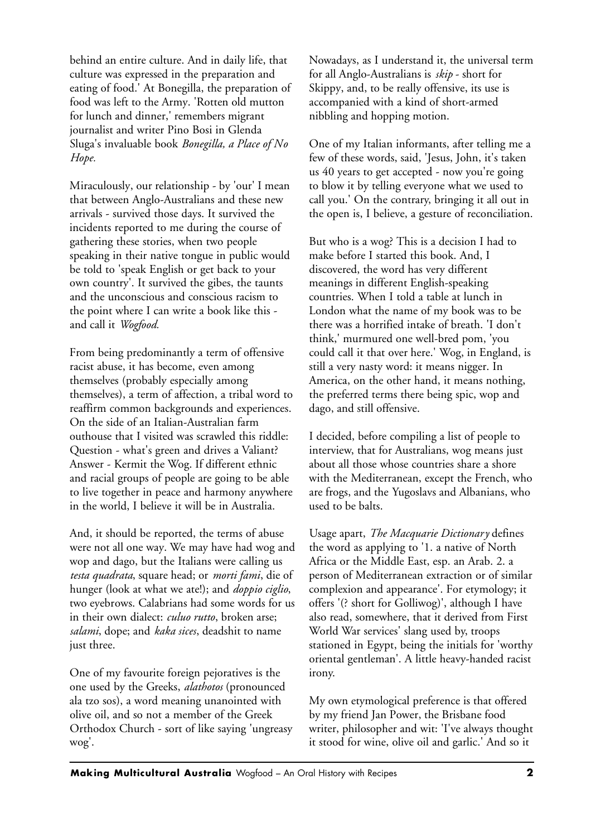behind an entire culture. And in daily life, that culture was expressed in the preparation and eating of food.' At Bonegilla, the preparation of food was left to the Army. 'Rotten old mutton for lunch and dinner,' remembers migrant journalist and writer Pino Bosi in Glenda Sluga's invaluable book *Bonegilla, a Place of No Hope.*

Miraculously, our relationship - by 'our' I mean that between Anglo-Australians and these new arrivals - survived those days. It survived the incidents reported to me during the course of gathering these stories, when two people speaking in their native tongue in public would be told to 'speak English or get back to your own country'. It survived the gibes, the taunts and the unconscious and conscious racism to the point where I can write a book like this and call it *Wogfood.*

From being predominantly a term of offensive racist abuse, it has become, even among themselves (probably especially among themselves), a term of affection, a tribal word to reaffirm common backgrounds and experiences. On the side of an Italian-Australian farm outhouse that I visited was scrawled this riddle: Question - what's green and drives a Valiant? Answer - Kermit the Wog. If different ethnic and racial groups of people are going to be able to live together in peace and harmony anywhere in the world, I believe it will be in Australia.

And, it should be reported, the terms of abuse were not all one way. We may have had wog and wop and dago, but the Italians were calling us *testa quadrata*, square head; or *morti fami*, die of hunger (look at what we ate!); and *doppio ciglio*, two eyebrows. Calabrians had some words for us in their own dialect: *culuo rutto*, broken arse; *salami*, dope; and *kaka sices*, deadshit to name just three.

One of my favourite foreign pejoratives is the one used by the Greeks, *alathotos* (pronounced ala tzo sos), a word meaning unanointed with olive oil, and so not a member of the Greek Orthodox Church - sort of like saying 'ungreasy wog'.

Nowadays, as I understand it, the universal term for all Anglo-Australians is *skip* - short for Skippy, and, to be really offensive, its use is accompanied with a kind of short-armed nibbling and hopping motion.

One of my Italian informants, after telling me a few of these words, said, 'Jesus, John, it's taken us 40 years to get accepted - now you're going to blow it by telling everyone what we used to call you.' On the contrary, bringing it all out in the open is, I believe, a gesture of reconciliation.

But who is a wog? This is a decision I had to make before I started this book. And, I discovered, the word has very different meanings in different English-speaking countries. When I told a table at lunch in London what the name of my book was to be there was a horrified intake of breath. 'I don't think,' murmured one well-bred pom, 'you could call it that over here.' Wog, in England, is still a very nasty word: it means nigger. In America, on the other hand, it means nothing, the preferred terms there being spic, wop and dago, and still offensive.

I decided, before compiling a list of people to interview, that for Australians, wog means just about all those whose countries share a shore with the Mediterranean, except the French, who are frogs, and the Yugoslavs and Albanians, who used to be balts.

Usage apart, *The Macquarie Dictionary* defines the word as applying to '1. a native of North Africa or the Middle East, esp. an Arab. 2. a person of Mediterranean extraction or of similar complexion and appearance'. For etymology; it offers '(? short for Golliwog)', although I have also read, somewhere, that it derived from First World War services' slang used by, troops stationed in Egypt, being the initials for 'worthy oriental gentleman'. A little heavy-handed racist irony.

My own etymological preference is that offered by my friend Jan Power, the Brisbane food writer, philosopher and wit: 'I've always thought it stood for wine, olive oil and garlic.' And so it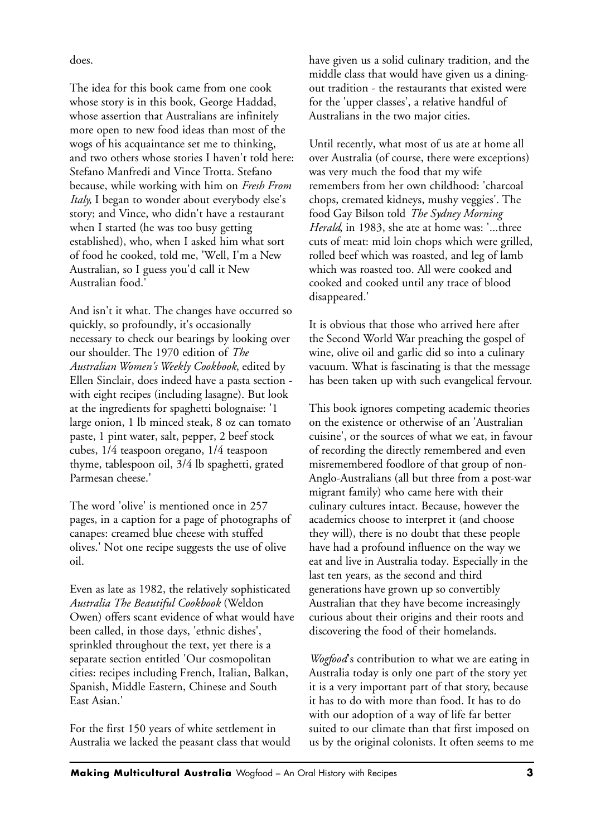does.

The idea for this book came from one cook whose story is in this book, George Haddad, whose assertion that Australians are infinitely more open to new food ideas than most of the wogs of his acquaintance set me to thinking, and two others whose stories I haven't told here: Stefano Manfredi and Vince Trotta. Stefano because, while working with him on *Fresh From Italy,* I began to wonder about everybody else's story; and Vince, who didn't have a restaurant when I started (he was too busy getting established), who, when I asked him what sort of food he cooked, told me, 'Well, I'm a New Australian, so I guess you'd call it New Australian food.'

And isn't it what. The changes have occurred so quickly, so profoundly, it's occasionally necessary to check our bearings by looking over our shoulder. The 1970 edition of *The Australian Women's Weekly Cookbook*, edited by Ellen Sinclair, does indeed have a pasta section with eight recipes (including lasagne). But look at the ingredients for spaghetti bolognaise: '1 large onion, 1 lb minced steak, 8 oz can tomato paste, 1 pint water, salt, pepper, 2 beef stock cubes, 1/4 teaspoon oregano, 1/4 teaspoon thyme, tablespoon oil, 3/4 lb spaghetti, grated Parmesan cheese.'

The word 'olive' is mentioned once in 257 pages, in a caption for a page of photographs of canapes: creamed blue cheese with stuffed olives.' Not one recipe suggests the use of olive oil.

Even as late as 1982, the relatively sophisticated *Australia The Beautiful Cookbook* (Weldon Owen) offers scant evidence of what would have been called, in those days, 'ethnic dishes', sprinkled throughout the text, yet there is a separate section entitled 'Our cosmopolitan cities: recipes including French, Italian, Balkan, Spanish, Middle Eastern, Chinese and South East Asian.'

For the first 150 years of white settlement in Australia we lacked the peasant class that would have given us a solid culinary tradition, and the middle class that would have given us a diningout tradition - the restaurants that existed were for the 'upper classes', a relative handful of Australians in the two major cities.

Until recently, what most of us ate at home all over Australia (of course, there were exceptions) was very much the food that my wife remembers from her own childhood: 'charcoal chops, cremated kidneys, mushy veggies'. The food Gay Bilson told *The Sydney Morning Herald*, in 1983, she ate at home was: '...three cuts of meat: mid loin chops which were grilled, rolled beef which was roasted, and leg of lamb which was roasted too. All were cooked and cooked and cooked until any trace of blood disappeared.'

It is obvious that those who arrived here after the Second World War preaching the gospel of wine, olive oil and garlic did so into a culinary vacuum. What is fascinating is that the message has been taken up with such evangelical fervour.

This book ignores competing academic theories on the existence or otherwise of an 'Australian cuisine', or the sources of what we eat, in favour of recording the directly remembered and even misremembered foodlore of that group of non-Anglo-Australians (all but three from a post-war migrant family) who came here with their culinary cultures intact. Because, however the academics choose to interpret it (and choose they will), there is no doubt that these people have had a profound influence on the way we eat and live in Australia today. Especially in the last ten years, as the second and third generations have grown up so convertibly Australian that they have become increasingly curious about their origins and their roots and discovering the food of their homelands.

*Wogfood*'s contribution to what we are eating in Australia today is only one part of the story yet it is a very important part of that story, because it has to do with more than food. It has to do with our adoption of a way of life far better suited to our climate than that first imposed on us by the original colonists. It often seems to me